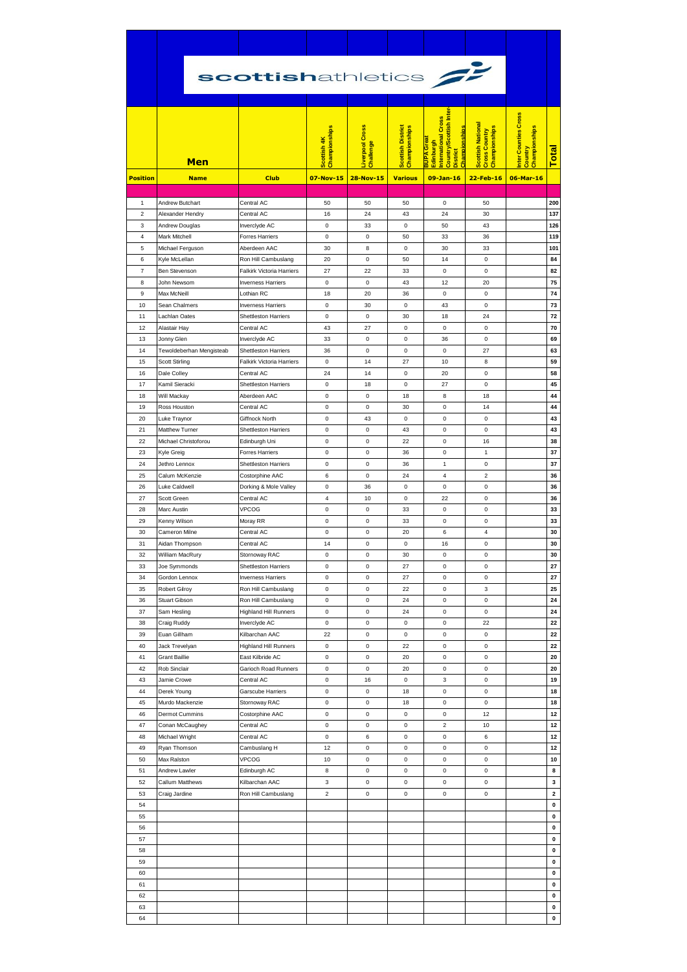|                 | scottishathletics                 |                                                     |                              |                                    |                                           |                                                                                                                    |                                                                   |                                                 |                   |
|-----------------|-----------------------------------|-----------------------------------------------------|------------------------------|------------------------------------|-------------------------------------------|--------------------------------------------------------------------------------------------------------------------|-------------------------------------------------------------------|-------------------------------------------------|-------------------|
|                 | Men                               |                                                     | Championships<br>Scottish 4K | <b>iverpool Cross</b><br>Challenge | <b>Scottish District</b><br>Championships | Country/Scottish Inter<br>nternational Cross<br>Championships<br><b>BUPA</b> Great<br>Edinburgh<br><b>District</b> | <b>Scottish National</b><br>Championships<br><b>Cross Country</b> | nter Counties Cross<br>Championships<br>Country | Total             |
| <b>Position</b> | <b>Name</b>                       | <b>Club</b>                                         | 07-Nov-15                    | <b>28-Nov-15</b>                   | <b>Various</b>                            | $09-Jan-16$                                                                                                        | 22-Feb-16                                                         | 06-Mar-16                                       |                   |
| $\mathbf{1}$    | Andrew Butchart                   | Central AC                                          | 50                           | 50                                 | 50                                        | 0                                                                                                                  | 50                                                                |                                                 | 200               |
| $\overline{2}$  | Alexander Hendry                  | Central AC                                          | 16                           | 24                                 | 43                                        | 24                                                                                                                 | 30                                                                |                                                 | 137               |
| 3               | Andrew Douglas                    | Inverclyde AC                                       | 0                            | 33                                 | 0                                         | 50                                                                                                                 | 43                                                                |                                                 | 126               |
| 4               | Mark Mitchell                     | Forres Harriers                                     | $\pmb{0}$                    | 0                                  | 50                                        | 33                                                                                                                 | 36                                                                |                                                 | 119               |
| 5<br>6          | Michael Ferguson<br>Kyle McLellan | Aberdeen AAC<br>Ron Hill Cambuslang                 | 30<br>20                     | 8<br>0                             | $\mathsf 0$<br>50                         | 30<br>14                                                                                                           | 33<br>0                                                           |                                                 | 101<br>84         |
| 7               | Ben Stevenson                     | <b>Falkirk Victoria Harriers</b>                    | 27                           | 22                                 | 33                                        | 0                                                                                                                  | $\mathsf 0$                                                       |                                                 | 82                |
| 8               | John Newsom                       | <b>Inverness Harriers</b>                           | 0                            | 0                                  | 43                                        | 12                                                                                                                 | 20                                                                |                                                 | 75                |
| 9               | Max McNeill                       | Lothian RC                                          | 18                           | 20                                 | 36                                        | 0                                                                                                                  | $\mathsf 0$                                                       |                                                 | 74                |
| 10              | Sean Chalmers                     | <b>Inverness Harriers</b>                           | 0                            | 30                                 | 0                                         | 43                                                                                                                 | 0                                                                 |                                                 | 73                |
| 11<br>12        | Lachlan Oates<br>Alastair Hay     | <b>Shettleston Harriers</b><br>Central AC           | $\pmb{0}$<br>43              | 0<br>27                            | 30<br>0                                   | 18<br>0                                                                                                            | 24<br>0                                                           |                                                 | 72<br>70          |
| 13              | Jonny Glen                        | Inverclyde AC                                       | 33                           | 0                                  | 0                                         | 36                                                                                                                 | 0                                                                 |                                                 | 69                |
| 14              | Tewoldeberhan Mengisteab          | <b>Shettleston Harriers</b>                         | 36                           | 0                                  | 0                                         | 0                                                                                                                  | 27                                                                |                                                 | 63                |
| 15              | <b>Scott Stirling</b>             | <b>Falkirk Victoria Harriers</b>                    | 0                            | 14                                 | 27                                        | 10                                                                                                                 | 8                                                                 |                                                 | 59                |
| 16              | Dale Colley                       | Central AC                                          | 24                           | 14                                 | $\mathsf 0$                               | 20                                                                                                                 | $\mathbf 0$                                                       |                                                 | 58                |
| 17<br>18        | Kamil Sieracki<br>Will Mackay     | <b>Shettleston Harriers</b><br>Aberdeen AAC         | 0<br>$\pmb{0}$               | 18<br>$\mathsf 0$                  | 0<br>18                                   | 27<br>8                                                                                                            | 0<br>18                                                           |                                                 | 45<br>44          |
| 19              | Ross Houston                      | Central AC                                          | 0                            | 0                                  | 30                                        | 0                                                                                                                  | 14                                                                |                                                 | 44                |
| 20              | Luke Traynor                      | Giffnock North                                      | $\pmb{0}$                    | 43                                 | 0                                         | 0                                                                                                                  | $\mathbf 0$                                                       |                                                 | 43                |
| 21              | Matthew Turner                    | Shettleston Harriers                                | $\pmb{0}$                    | $\mathsf 0$                        | 43                                        | 0                                                                                                                  | $\pmb{0}$                                                         |                                                 | 43                |
| 22              | Michael Christoforou              | Edinburgh Uni                                       | 0                            | 0                                  | 22                                        | 0                                                                                                                  | 16                                                                |                                                 | 38                |
| 23              | Kyle Greig                        | <b>Forres Harriers</b>                              | $\pmb{0}$                    | $\mathsf 0$                        | 36                                        | 0                                                                                                                  | $\mathbf{1}$                                                      |                                                 | 37<br>37          |
| 24<br>25        | Jethro Lennox<br>Calum McKenzie   | <b>Shettleston Harriers</b><br>Costorphine AAC      | 0<br>6                       | 0<br>0                             | 36<br>24                                  | 1<br>$\overline{4}$                                                                                                | 0<br>$\overline{2}$                                               |                                                 | 36                |
| 26              | Luke Caldwell                     | Dorking & Mole Valley                               | 0                            | 36                                 | 0                                         | 0                                                                                                                  | $\mathsf 0$                                                       |                                                 | 36                |
| 27              | Scott Green                       | Central AC                                          | $\overline{4}$               | 10                                 | 0                                         | 22                                                                                                                 | $\pmb{0}$                                                         |                                                 | 36                |
| 28              | Marc Austin                       | <b>VPCOG</b>                                        | 0                            | 0                                  | 33                                        | 0                                                                                                                  | 0                                                                 |                                                 | 33                |
| 29              | Kenny Wilson                      | Moray RR                                            | 0                            | 0                                  | 33                                        | 0                                                                                                                  | 0                                                                 |                                                 | 33                |
| 30<br>31        | Cameron Milne<br>Aidan Thompson   | Central AC<br>Central AC                            | $\pmb{0}$<br>14              | 0<br>$\mathsf 0$                   | 20<br>0                                   | 6<br>16                                                                                                            | $\overline{4}$<br>$\pmb{0}$                                       |                                                 | 30<br>30          |
| 32              | William MacRury                   | Stornoway RAC                                       | 0                            | 0                                  | 30                                        | 0                                                                                                                  | 0                                                                 |                                                 | 30                |
| 33              | Joe Symmonds                      | <b>Shettleston Harriers</b>                         | $\pmb{0}$                    | $\mathsf 0$                        | 27                                        | 0                                                                                                                  | $\mathsf 0$                                                       |                                                 | 27                |
| 34              | Gordon Lennox                     | <b>Inverness Harriers</b>                           | $\pmb{0}$                    | $\mathsf 0$                        | 27                                        | 0                                                                                                                  | $\mathbf 0$                                                       |                                                 | 27                |
| 35              | <b>Robert Gilroy</b>              | Ron Hill Cambuslang                                 | 0                            | 0                                  | 22                                        | 0                                                                                                                  | 3                                                                 |                                                 | 25                |
| 36<br>37        | Stuart Gibson<br>Sam Hesling      | Ron Hill Cambuslang<br><b>Highland Hill Runners</b> | $\pmb{0}$<br>0               | $\mathsf 0$<br>$\mathsf 0$         | 24<br>24                                  | 0<br>0                                                                                                             | $\pmb{0}$<br>$\mathsf 0$                                          |                                                 | 24<br>24          |
| 38              | Craig Ruddy                       | Inverclyde AC                                       | $\pmb{0}$                    | $\mathsf 0$                        | 0                                         | 0                                                                                                                  | 22                                                                |                                                 | 22                |
| 39              | Euan Gillham                      | Kilbarchan AAC                                      | 22                           | $\mathsf 0$                        | 0                                         | 0                                                                                                                  | $\pmb{0}$                                                         |                                                 | 22                |
| 40              | Jack Trevelyan                    | <b>Highland Hill Runners</b>                        | 0                            | $\mathsf 0$                        | 22                                        | 0                                                                                                                  | $\pmb{0}$                                                         |                                                 | 22                |
| 41              | <b>Grant Baillie</b>              | East Kilbride AC                                    | $\pmb{0}$                    | $\mathsf 0$                        | 20                                        | 0                                                                                                                  | $\mathbf 0$                                                       |                                                 | 20                |
| 42<br>43        | Rob Sinclair<br>Jamie Crowe       | Garioch Road Runners<br>Central AC                  | 0<br>$\pmb{0}$               | 0<br>16                            | 20<br>0                                   | 0<br>3                                                                                                             | 0<br>$\pmb{0}$                                                    |                                                 | 20<br>19          |
| 44              | Derek Young                       | Garscube Harriers                                   | 0                            | 0                                  | 18                                        | 0                                                                                                                  | $\mathbf 0$                                                       |                                                 | 18                |
| 45              | Murdo Mackenzie                   | Stornoway RAC                                       | 0                            | 0                                  | 18                                        | 0                                                                                                                  | 0                                                                 |                                                 | 18                |
| 46              | Dermot Cummins                    | Costorphine AAC                                     | $\pmb{0}$                    | $\mathsf 0$                        | 0                                         | 0                                                                                                                  | 12                                                                |                                                 | 12                |
| 47<br>48        | Conan McCaughey                   | Central AC                                          | $\pmb{0}$<br>$\pmb{0}$       | 0<br>6                             | 0<br>$\mathsf 0$                          | $\boldsymbol{2}$<br>0                                                                                              | 10<br>6                                                           |                                                 | 12<br>12          |
| 49              | Michael Wright<br>Ryan Thomson    | Central AC<br>Cambuslang H                          | 12                           | 0                                  | 0                                         | 0                                                                                                                  | 0                                                                 |                                                 | 12                |
| 50              | Max Ralston                       | VPCOG                                               | 10                           | $\mathsf 0$                        | 0                                         | 0                                                                                                                  | $\pmb{0}$                                                         |                                                 | 10                |
| 51              | Andrew Lawler                     | Edinburgh AC                                        | 8                            | $\mathsf 0$                        | $\mathsf 0$                               | 0                                                                                                                  | $\mathbf 0$                                                       |                                                 | 8                 |
| 52              | Callum Matthews                   | Kilbarchan AAC                                      | 3                            | $\mathsf 0$                        | $\mathbf 0$                               | 0                                                                                                                  | $\mathbf 0$                                                       |                                                 | 3                 |
| 53              | Craig Jardine                     | Ron Hill Cambuslang                                 | $\overline{\mathbf{c}}$      | 0                                  | 0                                         | 0                                                                                                                  | $\pmb{0}$                                                         |                                                 | $\mathbf{2}$<br>0 |
| 54<br>55        |                                   |                                                     |                              |                                    |                                           |                                                                                                                    |                                                                   |                                                 | 0                 |
| 56              |                                   |                                                     |                              |                                    |                                           |                                                                                                                    |                                                                   |                                                 | 0                 |
| 57              |                                   |                                                     |                              |                                    |                                           |                                                                                                                    |                                                                   |                                                 | 0                 |
| 58              |                                   |                                                     |                              |                                    |                                           |                                                                                                                    |                                                                   |                                                 | 0                 |
| 59              |                                   |                                                     |                              |                                    |                                           |                                                                                                                    |                                                                   |                                                 | 0                 |
| 60<br>61        |                                   |                                                     |                              |                                    |                                           |                                                                                                                    |                                                                   |                                                 | 0<br>0            |
| 62              |                                   |                                                     |                              |                                    |                                           |                                                                                                                    |                                                                   |                                                 | 0                 |
| 63              |                                   |                                                     |                              |                                    |                                           |                                                                                                                    |                                                                   |                                                 | 0                 |
| 64              |                                   |                                                     |                              |                                    |                                           |                                                                                                                    |                                                                   |                                                 | $\mathbf 0$       |